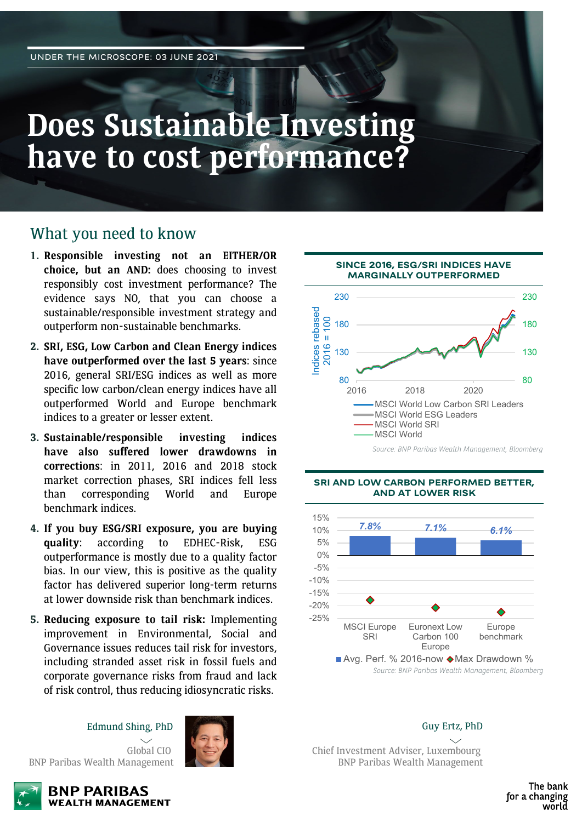# **Does Sustainable Investing have to cost performance?**

### What you need to know

- **1. Responsible investing not an EITHER/OR choice, but an AND:** does choosing to invest responsibly cost investment performance? The evidence says NO, that you can choose a sustainable/responsible investment strategy and outperform non-sustainable benchmarks.
- **2. SRI, ESG, Low Carbon and Clean Energy indices have outperformed over the last 5 years**: since 2016, general SRI/ESG indices as well as more specific low carbon/clean energy indices have all outperformed World and Europe benchmark indices to a greater or lesser extent.
- **3. Sustainable/responsible investing indices have also suffered lower drawdowns in corrections**: in 2011, 2016 and 2018 stock market correction phases, SRI indices fell less than corresponding World and Europe benchmark indices.
- **4. If you buy ESG/SRI exposure, you are buying quality**: according to EDHEC-Risk, ESG outperformance is mostly due to a quality factor bias. In our view, this is positive as the quality factor has delivered superior long-term returns at lower downside risk than benchmark indices.
- **5. Reducing exposure to tail risk:** Implementing improvement in Environmental, Social and Governance issues reduces tail risk for investors, including stranded asset risk in fossil fuels and corporate governance risks from fraud and lack of risk control, thus reducing idiosyncratic risks.

Edmund Shing, PhD







#### **BNP PARIBAS WEALTH MANAGEMENT**



*Source: BNP Paribas Wealth Management, Bloomberg*

#### **SRI AND LOW CARBON PERFORMED BETTER, AND AT LOWER RISK**



*Source: BNP Paribas Wealth Management, Bloomberg*

Guy Ertz, PhD

Chief Investment Adviser, Luxembourg BNP Paribas Wealth Management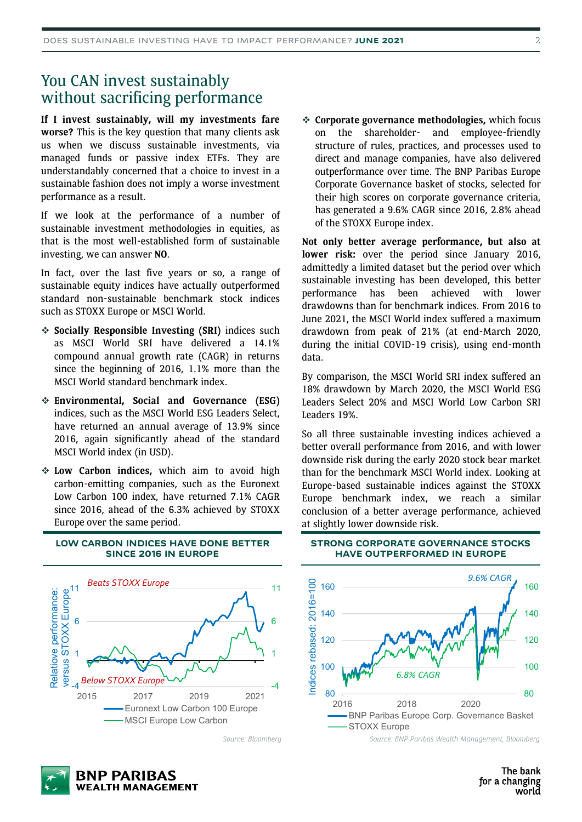### You CAN invest sustainably without sacrificing performance

**If I invest sustainably, will my investments fare worse?** This is the key question that many clients ask us when we discuss sustainable investments, via managed funds or passive index ETFs. They are understandably concerned that a choice to invest in a sustainable fashion does not imply a worse investment performance as a result.

If we look at the performance of a number of sustainable investment methodologies in equities, as that is the most well-established form of sustainable investing, we can answer **NO**.

In fact, over the last five years or so, a range of sustainable equity indices have actually outperformed standard non-sustainable benchmark stock indices such as STOXX Europe or MSCI World.

- **Socially Responsible Investing (SRI)** indices such as MSCI World SRI have delivered a 14.1% compound annual growth rate (CAGR) in returns since the beginning of 2016, 1.1% more than the MSCI World standard benchmark index.
- **Environmental, Social and Governance (ESG)** indices, such as the MSCI World ESG Leaders Select, have returned an annual average of 13.9% since 2016, again significantly ahead of the standard MSCI World index (in USD).
- **Low Carbon indices,** which aim to avoid high carbon-emitting companies, such as the Euronext Low Carbon 100 index, have returned 7.1% CAGR since 2016, ahead of the 6.3% achieved by STOXX Europe over the same period.



#### **LOW CARBON INDICES HAVE DONE BETTER SINCE 2016 IN EUROPE**

*Source: Bloomberg*



**Not only better average performance, but also at lower risk:** over the period since January 2016, admittedly a limited dataset but the period over which sustainable investing has been developed, this better performance has been achieved with lower drawdowns than for benchmark indices. From 2016 to June 2021, the MSCI World index suffered a maximum drawdown from peak of 21% (at end-March 2020, during the initial COVID-19 crisis), using end-month data.

By comparison, the MSCI World SRI index suffered an 18% drawdown by March 2020, the MSCI World ESG Leaders Select 20% and MSCI World Low Carbon SRI Leaders 19%.

So all three sustainable investing indices achieved a better overall performance from 2016, and with lower downside risk during the early 2020 stock bear market than for the benchmark MSCI World index. Looking at Europe-based sustainable indices against the STOXX Europe benchmark index, we reach a similar conclusion of a better average performance, achieved at slightly lower downside risk.

#### **STRONG CORPORATE GOVERNANCE STOCKS HAVE OUTPERFORMED IN EUROPE**



*Source: BNP Paribas Wealth Management, Bloomberg*

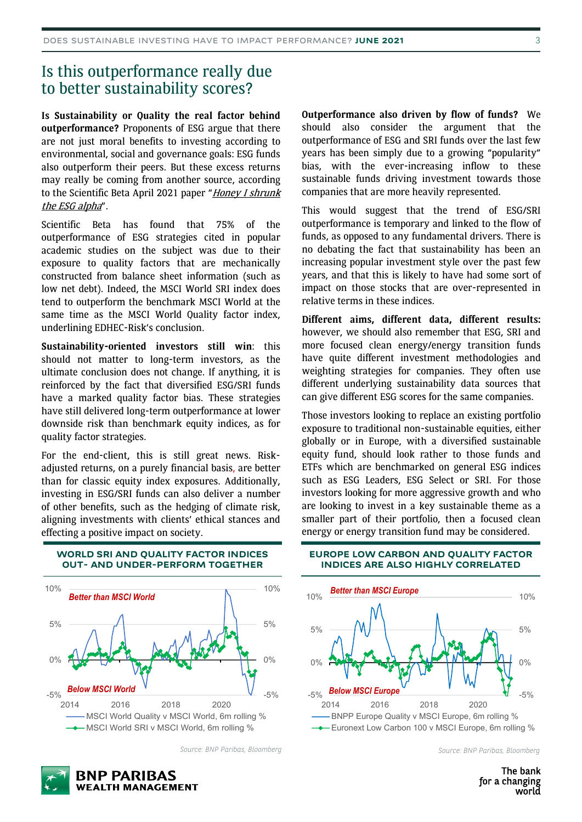### Is this outperformance really due to better sustainability scores?

**Is Sustainability or Quality the real factor behind outperformance?** Proponents of ESG argue that there are not just moral benefits to investing according to environmental, social and governance goals: ESG funds also outperform their peers. But these excess returns may really be coming from another source, according to the [Scientific](https://www.scientificbeta.com/green/#/news-events/financial-review-270521) Beta April 2021 paper "Honey I shrunk the ESG alpha".

Scientific Beta has found that 75% of the outperformance of ESG strategies cited in popular academic studies on the subject was due to their exposure to quality factors that are mechanically constructed from balance sheet information (such as low net debt). Indeed, the MSCI World SRI index does tend to outperform the benchmark MSCI World at the same time as the MSCI World Quality factor index, underlining EDHEC-Risk's conclusion.

**Sustainability-oriented investors still win**: this should not matter to long-term investors, as the ultimate conclusion does not change. If anything, it is reinforced by the fact that diversified ESG/SRI funds have a marked quality factor bias. These strategies have still delivered long-term outperformance at lower downside risk than benchmark equity indices, as for quality factor strategies.

For the end-client, this is still great news. Riskadjusted returns, on a purely financial basis, are better than for classic equity index exposures. Additionally, investing in ESG/SRI funds can also deliver a number of other benefits, such as the hedging of climate risk, aligning investments with clients' ethical stances and effecting a positive impact on society.

**Outperformance also driven by flow of funds?** We should also consider the argument that the outperformance of ESG and SRI funds over the last few years has been simply due to a growing "popularity" bias, with the ever-increasing inflow to these sustainable funds driving investment towards those companies that are more heavily represented.

This would suggest that the trend of ESG/SRI outperformance is temporary and linked to the flow of funds, as opposed to any fundamental drivers. There is no debating the fact that sustainability has been an increasing popular investment style over the past few years, and that this is likely to have had some sort of impact on those stocks that are over-represented in relative terms in these indices.

**Different aims, different data, different results:** however, we should also remember that ESG, SRI and more focused clean energy/energy transition funds have quite different investment methodologies and weighting strategies for companies. They often use different underlying sustainability data sources that can give different ESG scores for the same companies.

Those investors looking to replace an existing portfolio exposure to traditional non-sustainable equities, either globally or in Europe, with a diversified sustainable equity fund, should look rather to those funds and ETFs which are benchmarked on general ESG indices such as ESG Leaders, ESG Select or SRI. For those investors looking for more aggressive growth and who are looking to invest in a key sustainable theme as a smaller part of their portfolio, then a focused clean energy or energy transition fund may be considered.



**BNP PARIBAS** 

**WEALTH MANAGEMENT** 

**WORLD SRI AND QUALITY FACTOR INDICES OUT- AND UNDER-PERFORM TOGETHER**

*Source: BNP Paribas, Bloomberg*

#### **EUROPE LOW CARBON AND QUALITY FACTOR INDICES ARE ALSO HIGHLY CORRELATED**



*Source: BNP Paribas, Bloomberg*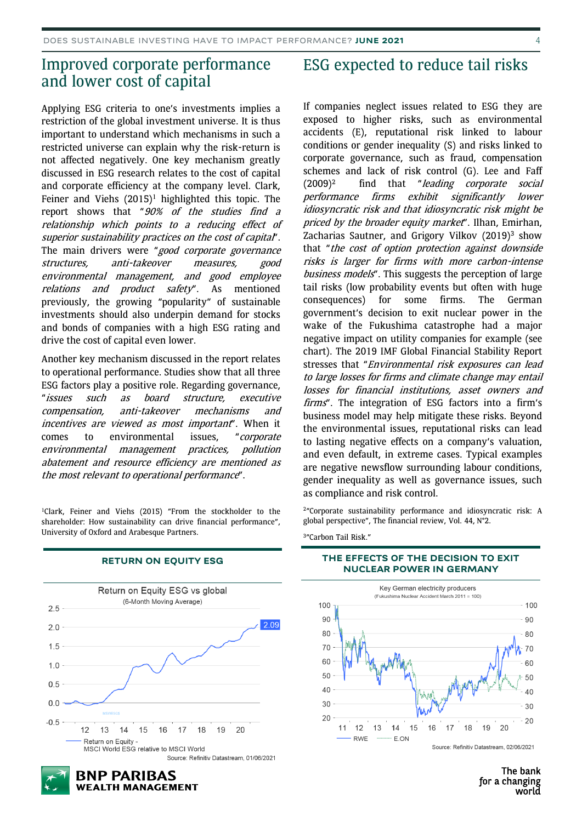### Improved corporate performance and lower cost of capital

Applying ESG criteria to one's investments implies a restriction of the global investment universe. It is thus important to understand which mechanisms in such a restricted universe can explain why the risk-return is not affected negatively. One key mechanism greatly discussed in ESG research relates to the cost of capital and corporate efficiency at the company level. Clark, Feiner and Viehs  $(2015)^1$  highlighted this topic. The report shows that "90% of the studies find <sup>a</sup> relationship which points to <sup>a</sup> reducing effect of superior sustainability practices on the cost of capital". The main drivers were "good corporate governance structures, anti-takeover measures, good environmental management, and good employee relations and product safety". As mentioned previously, the growing "popularity" of sustainable investments should also underpin demand for stocks and bonds of companies with a high ESG rating and drive the cost of capital even lower.

Another key mechanism discussed in the report relates to operational performance. Studies show that all three ESG factors play a positive role. Regarding governance, "issues such as board structure, executive compensation, anti-takeover mechanisms and incentives are viewed as most important". When it comes to environmental issues, "corporate environmental management practices, pollution abatement and resource efficiency are mentioned as the most relevant to operational performance".

<sup>1</sup>Clark, Feiner and Viehs (2015) "From the stockholder to the shareholder: How sustainability can drive financial performance", University of Oxford and Arabesque Partners.



#### **RETURN ON EQUITY ESG**

### ESG expected to reduce tail risks

If companies neglect issues related to ESG they are exposed to higher risks, such as environmental accidents (E), reputational risk linked to labour conditions or gender inequality (S) and risks linked to corporate governance, such as fraud, compensation schemes and lack of risk control (G). Lee and Faff  $(2009)^2$  find that "leading corporate social performance firms exhibit significantly lower idiosyncratic risk and that idiosyncratic risk might be priced by the broader equity market". Ilhan, Emirhan, Zacharias Sautner, and Grigory Vilkov (2019)<sup>3</sup> show that "the cost of option protection against downside risks is larger for firms with more carbon-intense business models". This suggests the perception of large tail risks (low probability events but often with huge consequences) for some firms. The German government's decision to exit nuclear power in the wake of the Fukushima catastrophe had a major negative impact on utility companies for example (see chart). The 2019 IMF Global Financial Stability Report stresses that "Environmental risk exposures can lead to large losses for firms and climate change may entail losses for financial institutions, asset owners and firms". The integration of ESG factors into a firm's business model may help mitigate these risks. Beyond the environmental issues, reputational risks can lead to lasting negative effects on a company's valuation, and even default, in extreme cases. Typical examples are negative newsflow surrounding labour conditions, gender inequality as well as governance issues, such as compliance and risk control.

2"Corporate sustainability performance and idiosyncratic risk: A global perspective", The financial review, Vol. 44, N°2.

3"Carbon Tail Risk."

#### **THE EFFECTS OF THE DECISION TO EXIT NUCLEAR POWER IN GERMANY**



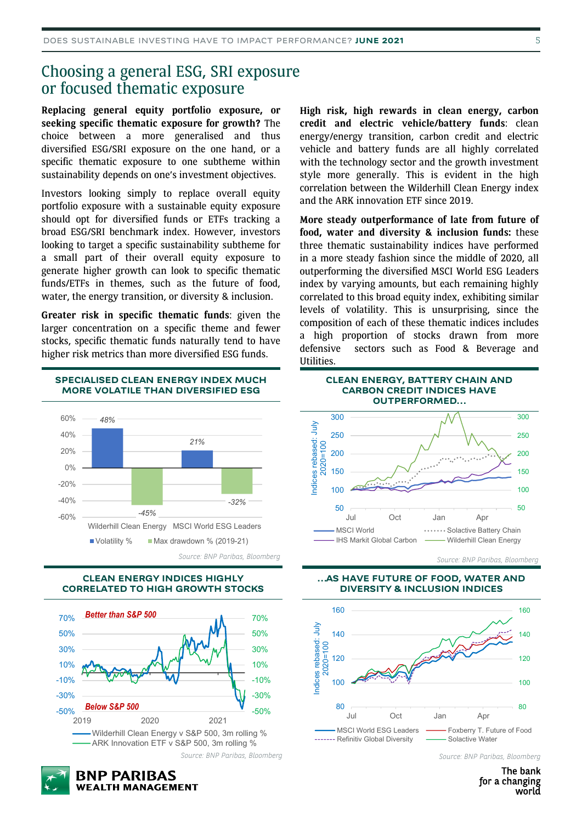### Choosing a general ESG, SRI exposure or focused thematic exposure

**Replacing general equity portfolio exposure, or seeking specific thematic exposure for growth?** The choice between a more generalised and thus diversified ESG/SRI exposure on the one hand, or a specific thematic exposure to one subtheme within sustainability depends on one's investment objectives.

Investors looking simply to replace overall equity portfolio exposure with a sustainable equity exposure should opt for diversified funds or ETFs tracking a broad ESG/SRI benchmark index. However, investors looking to target a specific sustainability subtheme for a small part of their overall equity exposure to generate higher growth can look to specific thematic funds/ETFs in themes, such as the future of food, water, the energy transition, or diversity & inclusion.

**Greater risk in specific thematic funds**: given the larger concentration on a specific theme and fewer stocks, specific thematic funds naturally tend to have higher risk metrics than more diversified ESG funds.







**BNP PARIBAS** 

**WEALTH MANAGEMENT** 



**More steady outperformance of late from future of food, water and diversity & inclusion funds:** these three thematic sustainability indices have performed in a more steady fashion since the middle of 2020, all outperforming the diversified MSCI World ESG Leaders index by varying amounts, but each remaining highly correlated to this broad equity index, exhibiting similar levels of volatility. This is unsurprising, since the composition of each of these thematic indices includes a high proportion of stocks drawn from more defensive sectors such as Food & Beverage and Utilities.



*Source: BNP Paribas, Bloomberg*

**…AS HAVE FUTURE OF FOOD, WATER AND DIVERSITY & INCLUSION INDICES**



*Source: BNP Paribas, Bloomberg*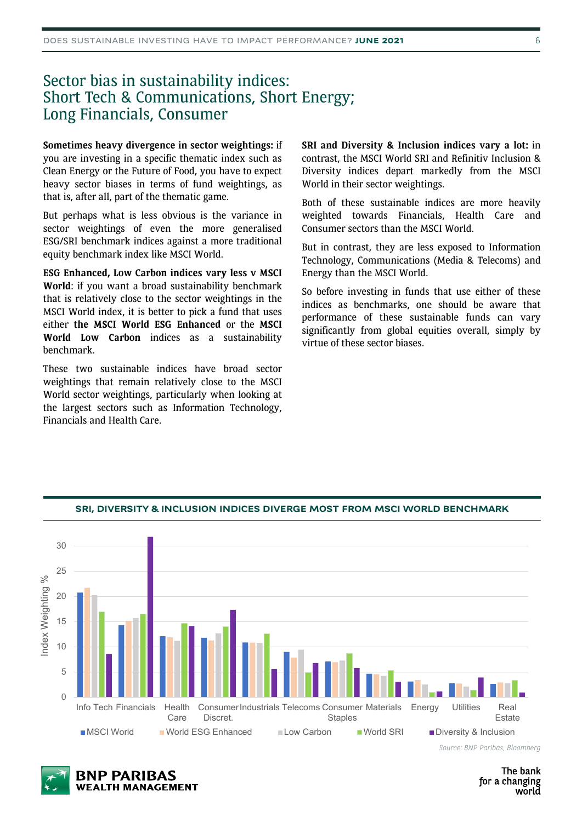### Sector bias in sustainability indices: Short Tech & Communications, Short Energy; Long Financials, Consumer

**Sometimes heavy divergence in sector weightings:** if you are investing in a specific thematic index such as Clean Energy or the Future of Food, you have to expect heavy sector biases in terms of fund weightings, as that is, after all, part of the thematic game.

But perhaps what is less obvious is the variance in sector weightings of even the more generalised ESG/SRI benchmark indices against a more traditional equity benchmark index like MSCI World.

**ESG Enhanced, Low Carbon indices vary less v MSCI World**: if you want a broad sustainability benchmark that is relatively close to the sector weightings in the MSCI World index, it is better to pick a fund that uses either **the MSCI World ESG Enhanced** or the **MSCI World Low Carbon** indices as a sustainability benchmark.

These two sustainable indices have broad sector weightings that remain relatively close to the MSCI World sector weightings, particularly when looking at the largest sectors such as Information Technology, Financials and Health Care.

**SRI and Diversity & Inclusion indices vary a lot:** in contrast, the MSCI World SRI and Refinitiv Inclusion & Diversity indices depart markedly from the MSCI World in their sector weightings.

Both of these sustainable indices are more heavily weighted towards Financials, Health Care and Consumer sectors than the MSCI World.

But in contrast, they are less exposed to Information Technology, Communications (Media & Telecoms) and Energy than the MSCI World.

So before investing in funds that use either of these indices as benchmarks, one should be aware that performance of these sustainable funds can vary significantly from global equities overall, simply by virtue of these sector biases.



#### **SRI, DIVERSITY & INCLUSION INDICES DIVERGE MOST FROM MSCI WORLD BENCHMARK**